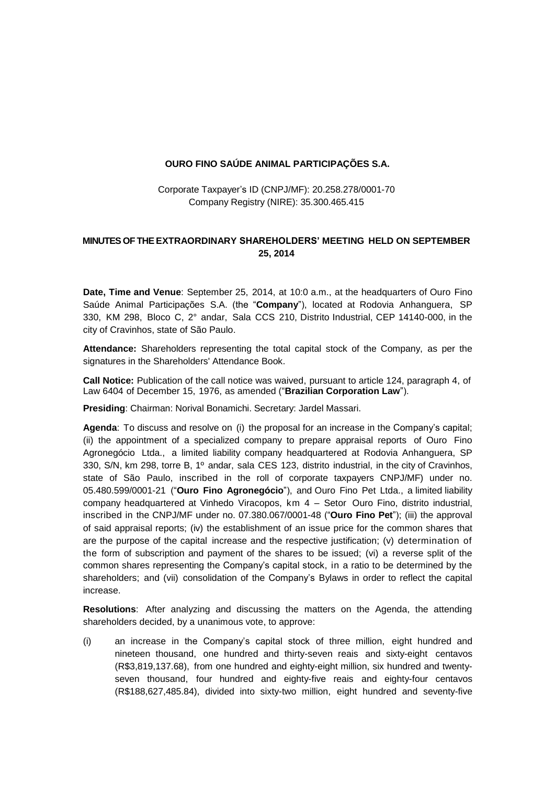#### **OURO FINO SAÚDE ANIMAL PARTICIPAÇÕES S.A.**

Corporate Taxpayer's ID (CNPJ/MF): 20.258.278/0001-70 Company Registry (NIRE): 35.300.465.415

### **MINUTES OF THE EXTRAORDINARY SHAREHOLDERS' MEETING HELD ON SEPTEMBER 25, 2014**

**Date, Time and Venue**: September 25, 2014, at 10:0 a.m., at the headquarters of Ouro Fino Saúde Animal Participações S.A. (the "**Company**"), located at Rodovia Anhanguera, SP 330, KM 298, Bloco C, 2° andar, Sala CCS 210, Distrito Industrial, CEP 14140-000, in the city of Cravinhos, state of São Paulo.

**Attendance:** Shareholders representing the total capital stock of the Company, as per the signatures in the Shareholders' Attendance Book.

**Call Notice:** Publication of the call notice was waived, pursuant to article 124, paragraph 4, of Law 6404 of December 15, 1976, as amended ("**Brazilian Corporation Law**").

**Presiding**: Chairman: Norival Bonamichi. Secretary: Jardel Massari.

**Agenda**: To discuss and resolve on (i) the proposal for an increase in the Company's capital; (ii) the appointment of a specialized company to prepare appraisal reports of Ouro Fino Agronegócio Ltda., a limited liability company headquartered at Rodovia Anhanguera, SP 330, S/N, km 298, torre B, 1º andar, sala CES 123, distrito industrial, in the city of Cravinhos, state of São Paulo, inscribed in the roll of corporate taxpayers CNPJ/MF) under no. 05.480.599/0001-21 ("**Ouro Fino Agronegócio**"), and Ouro Fino Pet Ltda., a limited liability company headquartered at Vinhedo Viracopos, km 4 – Setor Ouro Fino, distrito industrial, inscribed in the CNPJ/MF under no. 07.380.067/0001-48 ("**Ouro Fino Pet**"); (iii) the approval of said appraisal reports; (iv) the establishment of an issue price for the common shares that are the purpose of the capital increase and the respective justification; (v) determination of the form of subscription and payment of the shares to be issued; (vi) a reverse split of the common shares representing the Company's capital stock, in a ratio to be determined by the shareholders; and (vii) consolidation of the Company's Bylaws in order to reflect the capital increase.

**Resolutions**: After analyzing and discussing the matters on the Agenda, the attending shareholders decided, by a unanimous vote, to approve:

(i) an increase in the Company's capital stock of three million, eight hundred and nineteen thousand, one hundred and thirty-seven reais and sixty-eight centavos (R\$3,819,137.68), from one hundred and eighty-eight million, six hundred and twentyseven thousand, four hundred and eighty-five reais and eighty-four centavos (R\$188,627,485.84), divided into sixty-two million, eight hundred and seventy-five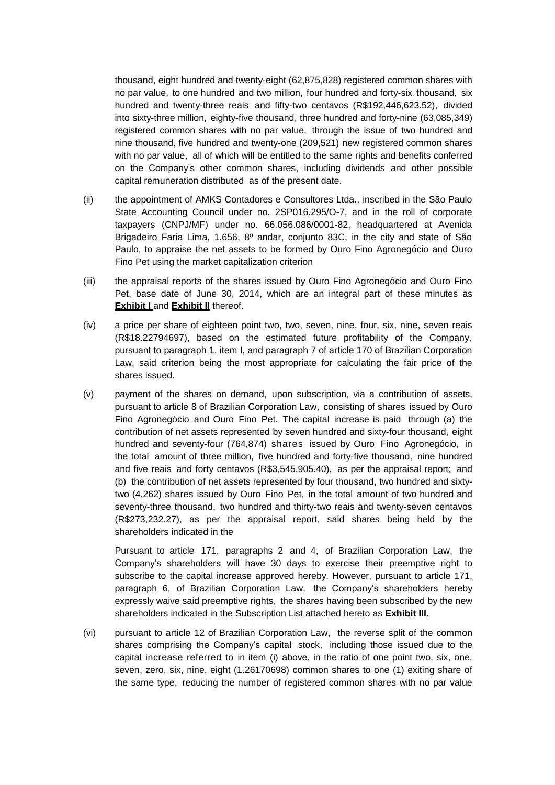thousand, eight hundred and twenty-eight (62,875,828) registered common shares with no par value, to one hundred and two million, four hundred and forty-six thousand, six hundred and twenty-three reais and fifty-two centavos (R\$192,446,623.52), divided into sixty-three million, eighty-five thousand, three hundred and forty-nine (63,085,349) registered common shares with no par value, through the issue of two hundred and nine thousand, five hundred and twenty-one (209,521) new registered common shares with no par value, all of which will be entitled to the same rights and benefits conferred on the Company's other common shares, including dividends and other possible capital remuneration distributed as of the present date.

- (ii) the appointment of AMKS Contadores e Consultores Ltda., inscribed in the São Paulo State Accounting Council under no. 2SP016.295/O-7, and in the roll of corporate taxpayers (CNPJ/MF) under no. 66.056.086/0001-82, headquartered at Avenida Brigadeiro Faria Lima, 1.656, 8º andar, conjunto 83C, in the city and state of São Paulo, to appraise the net assets to be formed by Ouro Fino Agronegócio and Ouro Fino Pet using the market capitalization criterion
- (iii) the appraisal reports of the shares issued by Ouro Fino Agronegócio and Ouro Fino Pet, base date of June 30, 2014, which are an integral part of these minutes as **Exhibit Land Exhibit II** thereof.
- (iv) a price per share of eighteen point two, two, seven, nine, four, six, nine, seven reais (R\$18.22794697), based on the estimated future profitability of the Company, pursuant to paragraph 1, item I, and paragraph 7 of article 170 of Brazilian Corporation Law, said criterion being the most appropriate for calculating the fair price of the shares issued.
- (v) payment of the shares on demand, upon subscription, via a contribution of assets, pursuant to article 8 of Brazilian Corporation Law, consisting of shares issued by Ouro Fino Agronegócio and Ouro Fino Pet. The capital increase is paid through (a) the contribution of net assets represented by seven hundred and sixty-four thousand, eight hundred and seventy-four (764,874) shares issued by Ouro Fino Agronegócio, in the total amount of three million, five hundred and forty-five thousand, nine hundred and five reais and forty centavos (R\$3,545,905.40), as per the appraisal report; and (b) the contribution of net assets represented by four thousand, two hundred and sixtytwo (4,262) shares issued by Ouro Fino Pet, in the total amount of two hundred and seventy-three thousand, two hundred and thirty-two reais and twenty-seven centavos (R\$273,232.27), as per the appraisal report, said shares being held by the shareholders indicated in the

Pursuant to article 171, paragraphs 2 and 4, of Brazilian Corporation Law, the Company's shareholders will have 30 days to exercise their preemptive right to subscribe to the capital increase approved hereby. However, pursuant to article 171, paragraph 6, of Brazilian Corporation Law, the Company's shareholders hereby expressly waive said preemptive rights, the shares having been subscribed by the new shareholders indicated in the Subscription List attached hereto as **Exhibit III**.

(vi) pursuant to article 12 of Brazilian Corporation Law, the reverse split of the common shares comprising the Company's capital stock, including those issued due to the capital increase referred to in item (i) above, in the ratio of one point two, six, one, seven, zero, six, nine, eight (1.26170698) common shares to one (1) exiting share of the same type, reducing the number of registered common shares with no par value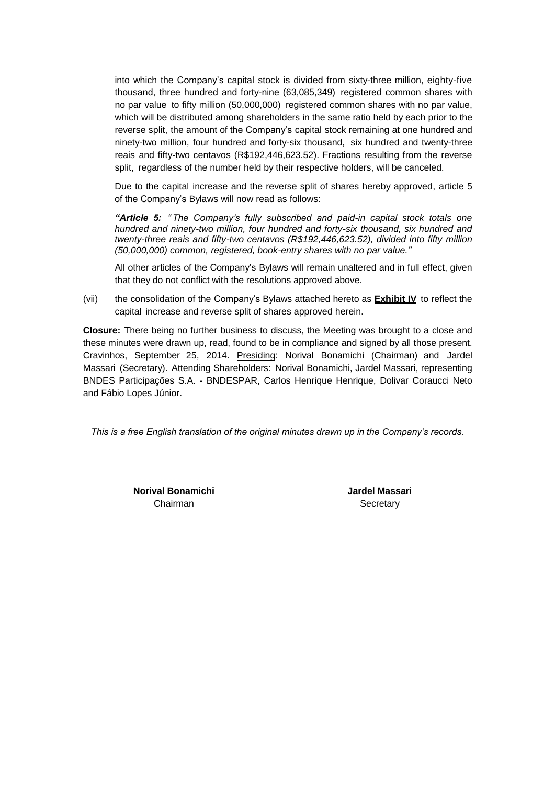into which the Company's capital stock is divided from sixty-three million, eighty-five thousand, three hundred and forty-nine (63,085,349) registered common shares with no par value to fifty million (50,000,000) registered common shares with no par value, which will be distributed among shareholders in the same ratio held by each prior to the reverse split, the amount of the Company's capital stock remaining at one hundred and ninety-two million, four hundred and forty-six thousand, six hundred and twenty-three reais and fifty-two centavos (R\$192,446,623.52). Fractions resulting from the reverse split, regardless of the number held by their respective holders, will be canceled.

Due to the capital increase and the reverse split of shares hereby approved, article 5 of the Company's Bylaws will now read as follows:

*"Article 5: " The Company's fully subscribed and paid-in capital stock totals one hundred and ninety-two million, four hundred and forty-six thousand, six hundred and twenty-three reais and fifty-two centavos (R\$192,446,623.52), divided into fifty million (50,000,000) common, registered, book-entry shares with no par value."*

All other articles of the Company's Bylaws will remain unaltered and in full effect, given that they do not conflict with the resolutions approved above.

(vii) the consolidation of the Company's Bylaws attached hereto as **Exhibit IV** to reflect the capital increase and reverse split of shares approved herein.

**Closure:** There being no further business to discuss, the Meeting was brought to a close and these minutes were drawn up, read, found to be in compliance and signed by all those present. Cravinhos, September 25, 2014. Presiding: Norival Bonamichi (Chairman) and Jardel Massari (Secretary). Attending Shareholders: Norival Bonamichi, Jardel Massari, representing BNDES Participações S.A. - BNDESPAR, Carlos Henrique Henrique, Dolivar Coraucci Neto and Fábio Lopes Júnior.

*This is a free English translation of the original minutes drawn up in the Company's records.*

**Norival Bonamichi** Chairman

**Jardel Massari Secretary**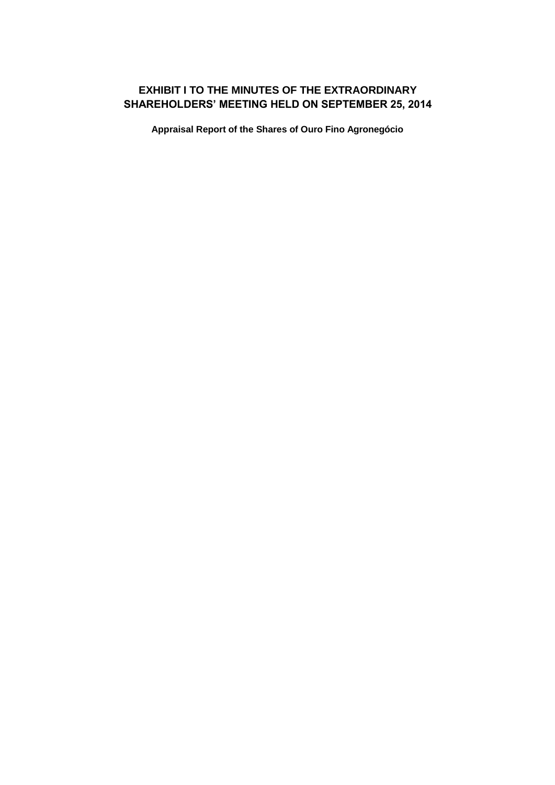# **EXHIBIT I TO THE MINUTES OF THE EXTRAORDINARY SHAREHOLDERS' MEETING HELD ON SEPTEMBER 25, 2014**

**Appraisal Report of the Shares of Ouro Fino Agronegócio**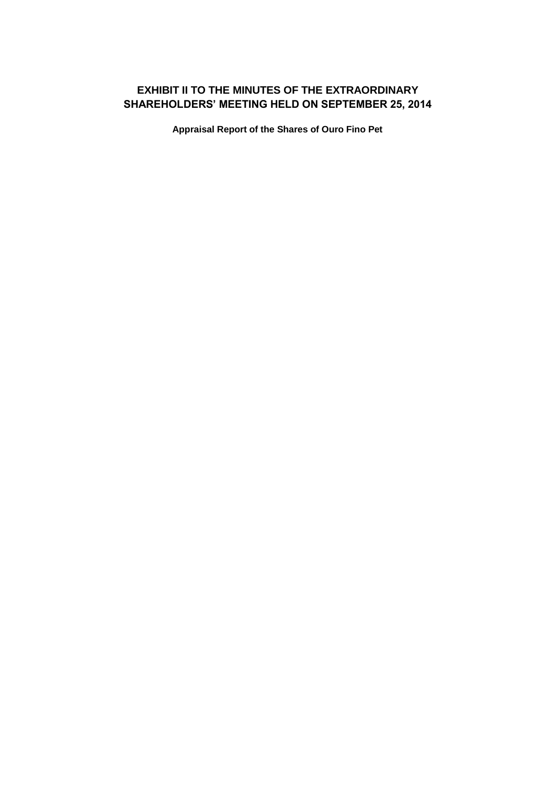# **EXHIBIT II TO THE MINUTES OF THE EXTRAORDINARY SHAREHOLDERS' MEETING HELD ON SEPTEMBER 25, 2014**

**Appraisal Report of the Shares of Ouro Fino Pet**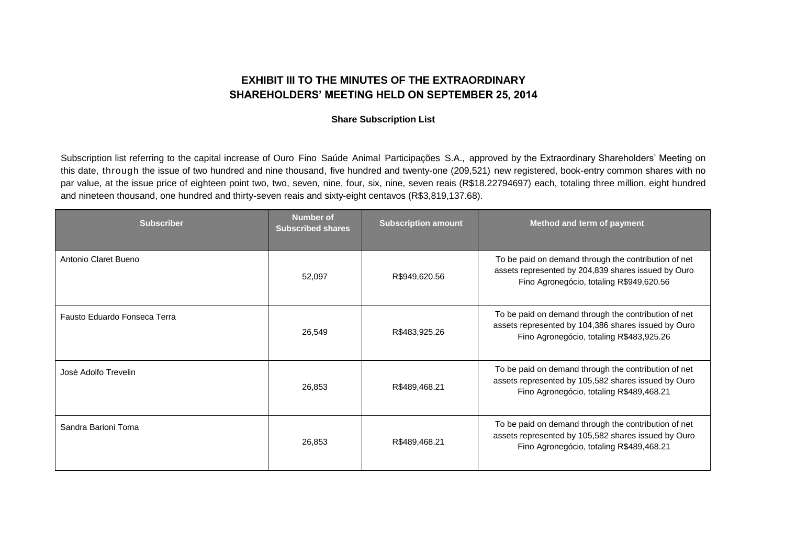## **EXHIBIT III TO THE MINUTES OF THE EXTRAORDINARY SHAREHOLDERS' MEETING HELD ON SEPTEMBER 25, 2014**

#### **Share Subscription List**

Subscription list referring to the capital increase of Ouro Fino Saúde Animal Participações S.A., approved by the Extraordinary Shareholders' Meeting on this date, through the issue of two hundred and nine thousand, five hundred and twenty-one (209,521) new registered, book-entry common shares with no par value, at the issue price of eighteen point two, two, seven, nine, four, six, nine, seven reais (R\$18.22794697) each, totaling three million, eight hundred and nineteen thousand, one hundred and thirty-seven reais and sixty-eight centavos (R\$3,819,137.68).

| <b>Subscriber</b>            | <b>Number of</b><br><b>Subscribed shares</b> | <b>Subscription amount</b> | Method and term of payment                                                                                                                              |
|------------------------------|----------------------------------------------|----------------------------|---------------------------------------------------------------------------------------------------------------------------------------------------------|
| Antonio Claret Bueno         | 52,097                                       | R\$949,620.56              | To be paid on demand through the contribution of net<br>assets represented by 204,839 shares issued by Ouro<br>Fino Agronegócio, totaling R\$949,620.56 |
| Fausto Eduardo Fonseca Terra | 26,549                                       | R\$483,925.26              | To be paid on demand through the contribution of net<br>assets represented by 104,386 shares issued by Ouro<br>Fino Agronegócio, totaling R\$483,925.26 |
| José Adolfo Trevelin         | 26,853                                       | R\$489,468.21              | To be paid on demand through the contribution of net<br>assets represented by 105,582 shares issued by Ouro<br>Fino Agronegócio, totaling R\$489,468.21 |
| Sandra Barioni Toma          | 26,853                                       | R\$489,468.21              | To be paid on demand through the contribution of net<br>assets represented by 105,582 shares issued by Ouro<br>Fino Agronegócio, totaling R\$489,468.21 |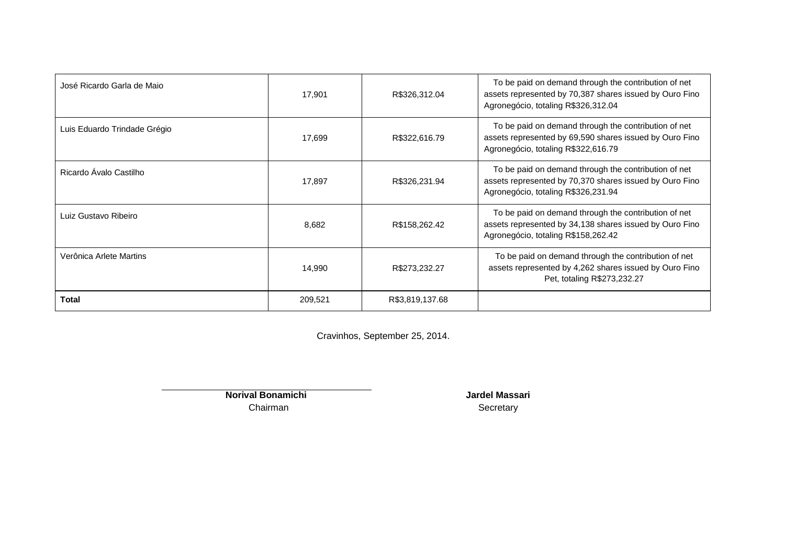| José Ricardo Garla de Maio   | 17,901  | R\$326,312.04   | To be paid on demand through the contribution of net<br>assets represented by 70,387 shares issued by Ouro Fino<br>Agronegócio, totaling R\$326,312.04 |
|------------------------------|---------|-----------------|--------------------------------------------------------------------------------------------------------------------------------------------------------|
| Luis Eduardo Trindade Grégio | 17,699  | R\$322,616.79   | To be paid on demand through the contribution of net<br>assets represented by 69,590 shares issued by Ouro Fino<br>Agronegócio, totaling R\$322,616.79 |
| Ricardo Ávalo Castilho       | 17,897  | R\$326,231.94   | To be paid on demand through the contribution of net<br>assets represented by 70,370 shares issued by Ouro Fino<br>Agronegócio, totaling R\$326,231.94 |
| Luiz Gustavo Ribeiro         | 8,682   | R\$158,262.42   | To be paid on demand through the contribution of net<br>assets represented by 34,138 shares issued by Ouro Fino<br>Agronegócio, totaling R\$158,262.42 |
| Verônica Arlete Martins      | 14,990  | R\$273,232.27   | To be paid on demand through the contribution of net<br>assets represented by 4,262 shares issued by Ouro Fino<br>Pet, totaling R\$273,232.27          |
| Total                        | 209,521 | R\$3,819,137.68 |                                                                                                                                                        |

Cravinhos, September 25, 2014.

**Norival Bonamichi** Chairman

**Jardel Massari Secretary**